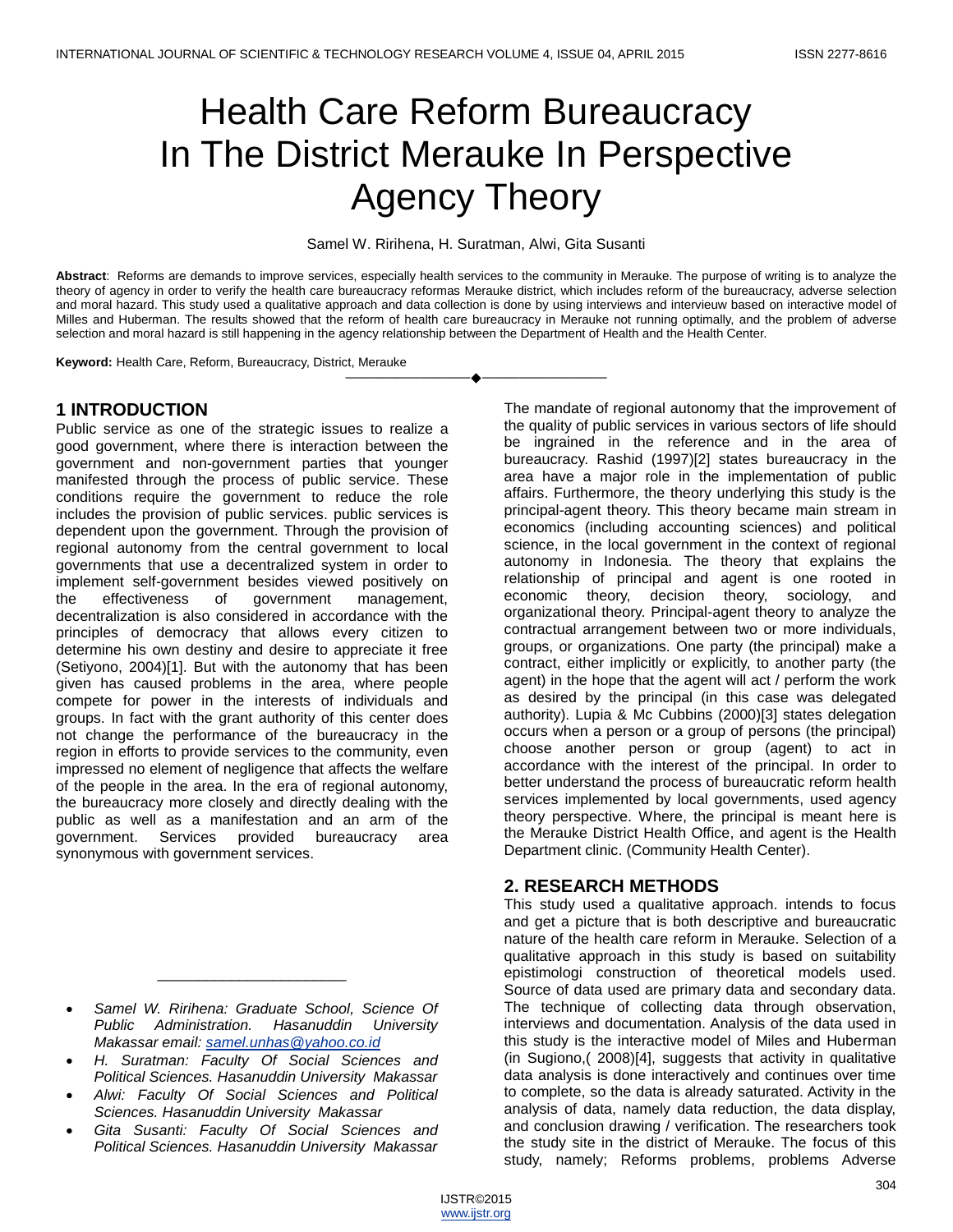# Health Care Reform Bureaucracy In The District Merauke In Perspective Agency Theory

Samel W. Ririhena, H. Suratman, Alwi, Gita Susanti

**Abstract**: Reforms are demands to improve services, especially health services to the community in Merauke. The purpose of writing is to analyze the theory of agency in order to verify the health care bureaucracy reformas Merauke district, which includes reform of the bureaucracy, adverse selection and moral hazard. This study used a qualitative approach and data collection is done by using interviews and intervieuw based on interactive model of Milles and Huberman. The results showed that the reform of health care bureaucracy in Merauke not running optimally, and the problem of adverse selection and moral hazard is still happening in the agency relationship between the Department of Health and the Health Center.

————————————————————

**Keyword:** Health Care, Reform, Bureaucracy, District, Merauke

## **1 INTRODUCTION**

Public service as one of the strategic issues to realize a good government, where there is interaction between the government and non-government parties that younger manifested through the process of public service. These conditions require the government to reduce the role includes the provision of public services. public services is dependent upon the government. Through the provision of regional autonomy from the central government to local governments that use a decentralized system in order to implement self-government besides viewed positively on the effectiveness of government management, decentralization is also considered in accordance with the principles of democracy that allows every citizen to determine his own destiny and desire to appreciate it free (Setiyono, 2004)[1]. But with the autonomy that has been given has caused problems in the area, where people compete for power in the interests of individuals and groups. In fact with the grant authority of this center does not change the performance of the bureaucracy in the region in efforts to provide services to the community, even impressed no element of negligence that affects the welfare of the people in the area. In the era of regional autonomy, the bureaucracy more closely and directly dealing with the public as well as a manifestation and an arm of the government. Services provided bureaucracy area synonymous with government services.

 *Samel W. Ririhena: Graduate School, Science Of Public Administration. Hasanuddin University Makassar email: [samel.unhas@yahoo.co.id](mailto:samel.unhas@yahoo.co.id)*

\_\_\_\_\_\_\_\_\_\_\_\_\_\_\_\_\_\_\_\_\_\_\_

- *H. Suratman: Faculty Of Social Sciences and Political Sciences. Hasanuddin University Makassar*
- *Alwi: Faculty Of Social Sciences and Political Sciences. Hasanuddin University Makassar*
- *Gita Susanti: Faculty Of Social Sciences and Political Sciences. Hasanuddin University Makassar*

The mandate of regional autonomy that the improvement of the quality of public services in various sectors of life should be ingrained in the reference and in the area of bureaucracy. Rashid (1997)[2] states bureaucracy in the area have a major role in the implementation of public affairs. Furthermore, the theory underlying this study is the principal-agent theory. This theory became main stream in economics (including accounting sciences) and political science, in the local government in the context of regional autonomy in Indonesia. The theory that explains the relationship of principal and agent is one rooted in economic theory, decision theory, sociology, and organizational theory. Principal-agent theory to analyze the contractual arrangement between two or more individuals, groups, or organizations. One party (the principal) make a contract, either implicitly or explicitly, to another party (the agent) in the hope that the agent will act / perform the work as desired by the principal (in this case was delegated authority). Lupia & Mc Cubbins (2000)[3] states delegation occurs when a person or a group of persons (the principal) choose another person or group (agent) to act in accordance with the interest of the principal. In order to better understand the process of bureaucratic reform health services implemented by local governments, used agency theory perspective. Where, the principal is meant here is the Merauke District Health Office, and agent is the Health Department clinic. (Community Health Center).

# **2. RESEARCH METHODS**

This study used a qualitative approach. intends to focus and get a picture that is both descriptive and bureaucratic nature of the health care reform in Merauke. Selection of a qualitative approach in this study is based on suitability epistimologi construction of theoretical models used. Source of data used are primary data and secondary data. The technique of collecting data through observation, interviews and documentation. Analysis of the data used in this study is the interactive model of Miles and Huberman (in Sugiono,( 2008)[4], suggests that activity in qualitative data analysis is done interactively and continues over time to complete, so the data is already saturated. Activity in the analysis of data, namely data reduction, the data display, and conclusion drawing / verification. The researchers took the study site in the district of Merauke. The focus of this study, namely; Reforms problems, problems Adverse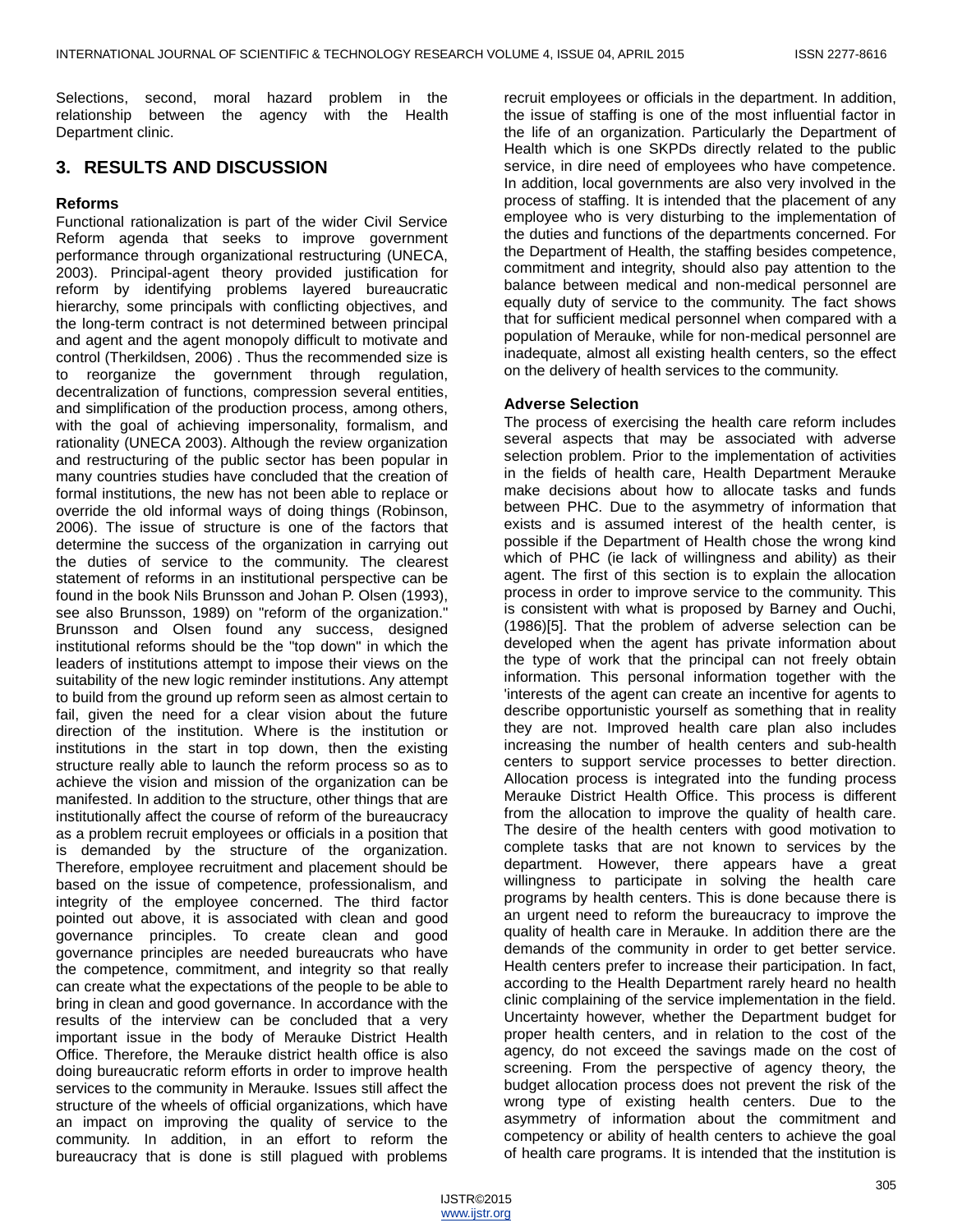Selections, second, moral hazard problem in the relationship between the agency with the Health Department clinic.

# **3. RESULTS AND DISCUSSION**

#### **Reforms**

Functional rationalization is part of the wider Civil Service Reform agenda that seeks to improve government performance through organizational restructuring (UNECA, 2003). Principal-agent theory provided justification for reform by identifying problems layered bureaucratic hierarchy, some principals with conflicting objectives, and the long-term contract is not determined between principal and agent and the agent monopoly difficult to motivate and control (Therkildsen, 2006) . Thus the recommended size is to reorganize the government through regulation, decentralization of functions, compression several entities, and simplification of the production process, among others, with the goal of achieving impersonality, formalism, and rationality (UNECA 2003). Although the review organization and restructuring of the public sector has been popular in many countries studies have concluded that the creation of formal institutions, the new has not been able to replace or override the old informal ways of doing things (Robinson, 2006). The issue of structure is one of the factors that determine the success of the organization in carrying out the duties of service to the community. The clearest statement of reforms in an institutional perspective can be found in the book Nils Brunsson and Johan P. Olsen (1993), see also Brunsson, 1989) on "reform of the organization." Brunsson and Olsen found any success, designed institutional reforms should be the "top down" in which the leaders of institutions attempt to impose their views on the suitability of the new logic reminder institutions. Any attempt to build from the ground up reform seen as almost certain to fail, given the need for a clear vision about the future direction of the institution. Where is the institution or institutions in the start in top down, then the existing structure really able to launch the reform process so as to achieve the vision and mission of the organization can be manifested. In addition to the structure, other things that are institutionally affect the course of reform of the bureaucracy as a problem recruit employees or officials in a position that is demanded by the structure of the organization. Therefore, employee recruitment and placement should be based on the issue of competence, professionalism, and integrity of the employee concerned. The third factor pointed out above, it is associated with clean and good governance principles. To create clean and good governance principles are needed bureaucrats who have the competence, commitment, and integrity so that really can create what the expectations of the people to be able to bring in clean and good governance. In accordance with the results of the interview can be concluded that a very important issue in the body of Merauke District Health Office. Therefore, the Merauke district health office is also doing bureaucratic reform efforts in order to improve health services to the community in Merauke. Issues still affect the structure of the wheels of official organizations, which have an impact on improving the quality of service to the community. In addition, in an effort to reform the bureaucracy that is done is still plagued with problems

recruit employees or officials in the department. In addition, the issue of staffing is one of the most influential factor in the life of an organization. Particularly the Department of Health which is one SKPDs directly related to the public service, in dire need of employees who have competence. In addition, local governments are also very involved in the process of staffing. It is intended that the placement of any employee who is very disturbing to the implementation of the duties and functions of the departments concerned. For the Department of Health, the staffing besides competence, commitment and integrity, should also pay attention to the balance between medical and non-medical personnel are equally duty of service to the community. The fact shows that for sufficient medical personnel when compared with a population of Merauke, while for non-medical personnel are inadequate, almost all existing health centers, so the effect on the delivery of health services to the community.

#### **Adverse Selection**

The process of exercising the health care reform includes several aspects that may be associated with adverse selection problem. Prior to the implementation of activities in the fields of health care, Health Department Merauke make decisions about how to allocate tasks and funds between PHC. Due to the asymmetry of information that exists and is assumed interest of the health center, is possible if the Department of Health chose the wrong kind which of PHC (ie lack of willingness and ability) as their agent. The first of this section is to explain the allocation process in order to improve service to the community. This is consistent with what is proposed by Barney and Ouchi, (1986)[5]. That the problem of adverse selection can be developed when the agent has private information about the type of work that the principal can not freely obtain information. This personal information together with the 'interests of the agent can create an incentive for agents to describe opportunistic yourself as something that in reality they are not. Improved health care plan also includes increasing the number of health centers and sub-health centers to support service processes to better direction. Allocation process is integrated into the funding process Merauke District Health Office. This process is different from the allocation to improve the quality of health care. The desire of the health centers with good motivation to complete tasks that are not known to services by the department. However, there appears have a great willingness to participate in solving the health care programs by health centers. This is done because there is an urgent need to reform the bureaucracy to improve the quality of health care in Merauke. In addition there are the demands of the community in order to get better service. Health centers prefer to increase their participation. In fact, according to the Health Department rarely heard no health clinic complaining of the service implementation in the field. Uncertainty however, whether the Department budget for proper health centers, and in relation to the cost of the agency, do not exceed the savings made on the cost of screening. From the perspective of agency theory, the budget allocation process does not prevent the risk of the wrong type of existing health centers. Due to the asymmetry of information about the commitment and competency or ability of health centers to achieve the goal of health care programs. It is intended that the institution is